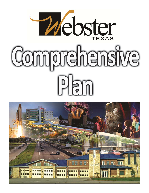

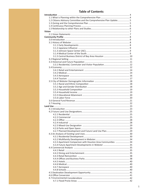# **Table of Contents**

| 1.2 Citizens Advisory Committee and the Comprehensive Plan Update5 |  |
|--------------------------------------------------------------------|--|
|                                                                    |  |
|                                                                    |  |
|                                                                    |  |
| <b>Vision</b>                                                      |  |
|                                                                    |  |
|                                                                    |  |
|                                                                    |  |
|                                                                    |  |
|                                                                    |  |
|                                                                    |  |
|                                                                    |  |
|                                                                    |  |
|                                                                    |  |
|                                                                    |  |
|                                                                    |  |
|                                                                    |  |
|                                                                    |  |
|                                                                    |  |
|                                                                    |  |
|                                                                    |  |
|                                                                    |  |
|                                                                    |  |
|                                                                    |  |
|                                                                    |  |
|                                                                    |  |
|                                                                    |  |
|                                                                    |  |
|                                                                    |  |
|                                                                    |  |
|                                                                    |  |
|                                                                    |  |
|                                                                    |  |
|                                                                    |  |
|                                                                    |  |
|                                                                    |  |
|                                                                    |  |
|                                                                    |  |
|                                                                    |  |
|                                                                    |  |
|                                                                    |  |
|                                                                    |  |
|                                                                    |  |
| 4.3.3 Apartment Comparison with Houston Area Communities 34        |  |
|                                                                    |  |
|                                                                    |  |
|                                                                    |  |
|                                                                    |  |
|                                                                    |  |
|                                                                    |  |
|                                                                    |  |
|                                                                    |  |
|                                                                    |  |
|                                                                    |  |
|                                                                    |  |
|                                                                    |  |
|                                                                    |  |
|                                                                    |  |